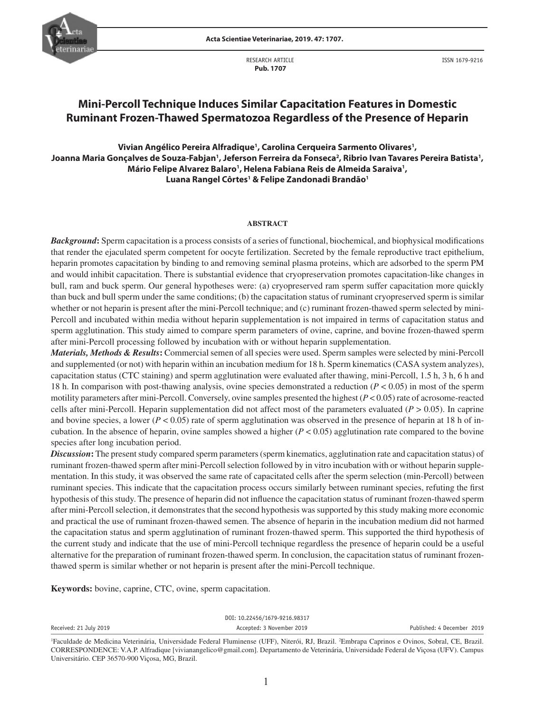

RESEARCH ARTICLE  **Pub. 1707**

ISSN 1679-9216

# **Mini-Percoll Technique Induces Similar Capacitation Features in Domestic Ruminant Frozen-Thawed Spermatozoa Regardless of the Presence of Heparin**

**Vivian Angélico Pereira Alfradique1 , Carolina Cerqueira Sarmento Olivares1 ,**  Joanna Maria Gonçalves de Souza-Fabjan', Jeferson Ferreira da Fonseca<sup>2</sup>, Ribrio Ivan Tavares Pereira Batista', Mário Felipe Alvarez Balaro<sup>1</sup>, Helena Fabiana Reis de Almeida Saraiva<sup>1</sup>, **Luana Rangel Côrtes1 & Felipe Zandonadi Brandão1**

### **ABSTRACT**

*Background***:** Sperm capacitation is a process consists of a series of functional, biochemical, and biophysical modifications that render the ejaculated sperm competent for oocyte fertilization. Secreted by the female reproductive tract epithelium, heparin promotes capacitation by binding to and removing seminal plasma proteins, which are adsorbed to the sperm PM and would inhibit capacitation. There is substantial evidence that cryopreservation promotes capacitation-like changes in bull, ram and buck sperm. Our general hypotheses were: (a) cryopreserved ram sperm suffer capacitation more quickly than buck and bull sperm under the same conditions; (b) the capacitation status of ruminant cryopreserved sperm is similar whether or not heparin is present after the mini-Percoll technique; and (c) ruminant frozen-thawed sperm selected by mini-Percoll and incubated within media without heparin supplementation is not impaired in terms of capacitation status and sperm agglutination. This study aimed to compare sperm parameters of ovine, caprine, and bovine frozen-thawed sperm after mini-Percoll processing followed by incubation with or without heparin supplementation.

*Materials, Methods & Results***:** Commercial semen of all species were used. Sperm samples were selected by mini-Percoll and supplemented (or not) with heparin within an incubation medium for 18 h. Sperm kinematics (CASA system analyzes), capacitation status (CTC staining) and sperm agglutination were evaluated after thawing, mini-Percoll, 1.5 h, 3 h, 6 h and 18 h. In comparison with post-thawing analysis, ovine species demonstrated a reduction (*P* < 0.05) in most of the sperm motility parameters after mini-Percoll. Conversely, ovine samples presented the highest (*P* < 0.05) rate of acrosome-reacted cells after mini-Percoll. Heparin supplementation did not affect most of the parameters evaluated ( $P > 0.05$ ). In caprine and bovine species, a lower ( $P < 0.05$ ) rate of sperm agglutination was observed in the presence of heparin at 18 h of incubation. In the absence of heparin, ovine samples showed a higher  $(P < 0.05)$  agglutination rate compared to the bovine species after long incubation period.

*Discussion***:** The present study compared sperm parameters (sperm kinematics, agglutination rate and capacitation status) of ruminant frozen-thawed sperm after mini-Percoll selection followed by in vitro incubation with or without heparin supplementation. In this study, it was observed the same rate of capacitated cells after the sperm selection (min-Percoll) between ruminant species. This indicate that the capacitation process occurs similarly between ruminant species, refuting the first hypothesis of this study. The presence of heparin did not influence the capacitation status of ruminant frozen-thawed sperm after mini-Percoll selection, it demonstrates that the second hypothesis was supported by this study making more economic and practical the use of ruminant frozen-thawed semen. The absence of heparin in the incubation medium did not harmed the capacitation status and sperm agglutination of ruminant frozen-thawed sperm. This supported the third hypothesis of the current study and indicate that the use of mini-Percoll technique regardless the presence of heparin could be a useful alternative for the preparation of ruminant frozen-thawed sperm. In conclusion, the capacitation status of ruminant frozenthawed sperm is similar whether or not heparin is present after the mini-Percoll technique.

**Keywords:** bovine, caprine, CTC, ovine, sperm capacitation.

|                        |  |  | DOI: 10.22456/1679-9216.98317                                        |  |  |                            |  |
|------------------------|--|--|----------------------------------------------------------------------|--|--|----------------------------|--|
| Received: 21 July 2019 |  |  | Accepted: 3 November 2019                                            |  |  | Published: 4 December 2019 |  |
|                        |  |  | $\pi$ , then $\pi$ is the contract of $\pi$ is the contract of $\pi$ |  |  |                            |  |

<sup>1</sup>Faculdade de Medicina Veterinária, Universidade Federal Fluminense (UFF), Niterói, RJ, Brazil. <sup>2</sup>Embrapa Caprinos e Ovinos, Sobral, CE, Brazil. CORRESPONDENCE: V.A.P. Alfradique [vivianangelico@gmail.com]. Departamento de Veterinária, Universidade Federal de Viçosa (UFV). Campus Universitário. CEP 36570-900 Viçosa, MG, Brazil.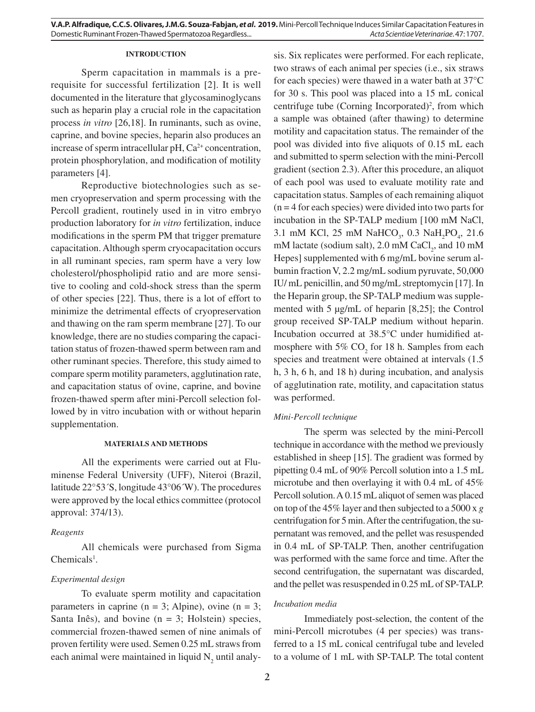### **INTRODUCTION**

Sperm capacitation in mammals is a prerequisite for successful fertilization [2]. It is well documented in the literature that glycosaminoglycans such as heparin play a crucial role in the capacitation process *in vitro* [26,18]. In ruminants, such as ovine, caprine, and bovine species, heparin also produces an increase of sperm intracellular  $pH$ ,  $Ca<sup>2+</sup>$  concentration, protein phosphorylation, and modification of motility parameters [4].

Reproductive biotechnologies such as semen cryopreservation and sperm processing with the Percoll gradient, routinely used in in vitro embryo production laboratory for *in vitro* fertilization, induce modifications in the sperm PM that trigger premature capacitation. Although sperm cryocapacitation occurs in all ruminant species, ram sperm have a very low cholesterol/phospholipid ratio and are more sensitive to cooling and cold-shock stress than the sperm of other species [22]. Thus, there is a lot of effort to minimize the detrimental effects of cryopreservation and thawing on the ram sperm membrane [27]. To our knowledge, there are no studies comparing the capacitation status of frozen-thawed sperm between ram and other ruminant species. Therefore, this study aimed to compare sperm motility parameters, agglutination rate, and capacitation status of ovine, caprine, and bovine frozen-thawed sperm after mini-Percoll selection followed by in vitro incubation with or without heparin supplementation.

### **MATERIALS AND METHODS**

All the experiments were carried out at Fluminense Federal University (UFF), Niteroi (Brazil, latitude 22°53´S, longitude 43°06´W). The procedures were approved by the local ethics committee (protocol approval: 374/13).

#### *Reagents*

All chemicals were purchased from Sigma  $Chemicals<sup>1</sup>$ .

### *Experimental design*

To evaluate sperm motility and capacitation parameters in caprine ( $n = 3$ ; Alpine), ovine ( $n = 3$ ; Santa Inês), and bovine  $(n = 3;$  Holstein) species, commercial frozen-thawed semen of nine animals of proven fertility were used. Semen 0.25 mL straws from each animal were maintained in liquid  $N_2$  until analysis. Six replicates were performed. For each replicate, two straws of each animal per species (i.e., six straws for each species) were thawed in a water bath at 37°C for 30 s. This pool was placed into a 15 mL conical centrifuge tube (Corning Incorporated)<sup>2</sup>, from which a sample was obtained (after thawing) to determine motility and capacitation status. The remainder of the pool was divided into five aliquots of 0.15 mL each and submitted to sperm selection with the mini-Percoll gradient (section 2.3). After this procedure, an aliquot of each pool was used to evaluate motility rate and capacitation status. Samples of each remaining aliquot  $(n = 4$  for each species) were divided into two parts for incubation in the SP-TALP medium [100 mM NaCl,  $3.1 \text{ mM KCl, } 25 \text{ mM NaHCO}_3$ ,  $0.3 \text{ NaH}_2\text{PO}_4$ ,  $21.6 \text{ m}$ mM lactate (sodium salt), 2.0 mM  $CaCl<sub>2</sub>$ , and 10 mM Hepes] supplemented with 6 mg/mL bovine serum albumin fraction V, 2.2 mg/mL sodium pyruvate, 50,000 IU/ mL penicillin, and 50 mg/mL streptomycin [17]. In the Heparin group, the SP-TALP medium was supplemented with 5 μg/mL of heparin [8,25]; the Control group received SP-TALP medium without heparin. Incubation occurred at 38.5°C under humidified atmosphere with  $5\%$  CO<sub>2</sub> for 18 h. Samples from each species and treatment were obtained at intervals (1.5 h, 3 h, 6 h, and 18 h) during incubation, and analysis of agglutination rate, motility, and capacitation status was performed.

#### *Mini-Percoll technique*

The sperm was selected by the mini-Percoll technique in accordance with the method we previously established in sheep [15]. The gradient was formed by pipetting 0.4 mL of 90% Percoll solution into a 1.5 mL microtube and then overlaying it with 0.4 mL of 45% Percoll solution. A 0.15 mL aliquot of semen was placed on top of the 45% layer and then subjected to a 5000 x *g* centrifugation for 5 min. After the centrifugation, the supernatant was removed, and the pellet was resuspended in 0.4 mL of SP-TALP. Then, another centrifugation was performed with the same force and time. After the second centrifugation, the supernatant was discarded, and the pellet was resuspended in 0.25 mL of SP-TALP.

### *Incubation media*

Immediately post-selection, the content of the mini-Percoll microtubes (4 per species) was transferred to a 15 mL conical centrifugal tube and leveled to a volume of 1 mL with SP-TALP. The total content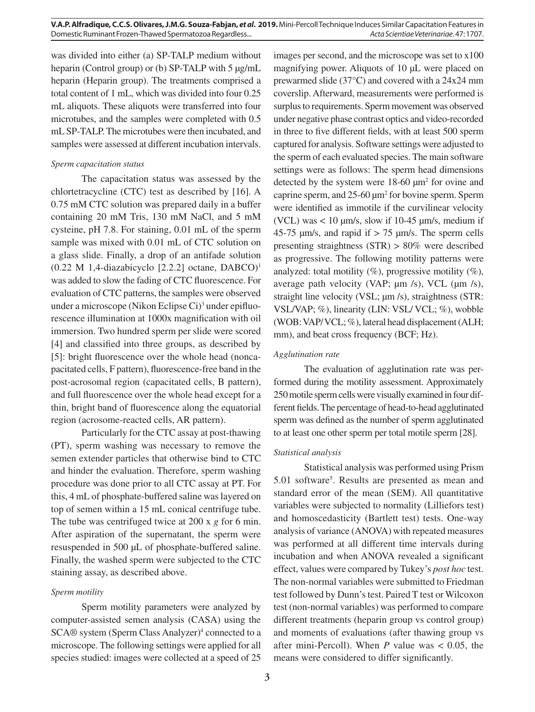was divided into either (a) SP-TALP medium without heparin (Control group) or (b) SP-TALP with 5  $\mu$ g/mL heparin (Heparin group). The treatments comprised a total content of 1 mL, which was divided into four 0.25 mL aliquots. These aliquots were transferred into four microtubes, and the samples were completed with 0.5 mL SP-TALP. The microtubes were then incubated, and samples were assessed at different incubation intervals.

# *Sperm capacitation status*

The capacitation status was assessed by the chlortetracycline (CTC) test as described by [16]. A 0.75 mM CTC solution was prepared daily in a buffer containing 20 mM Tris, 130 mM NaCl, and 5 mM cysteine, pH 7.8. For staining, 0.01 mL of the sperm sample was mixed with 0.01 mL of CTC solution on a glass slide. Finally, a drop of an antifade solution  $(0.22 \text{ M} 1,4$ -diazabicyclo  $[2.2.2]$  octane, DABCO)<sup>1</sup> was added to slow the fading of CTC fluorescence. For evaluation of CTC patterns, the samples were observed under a microscope (Nikon Eclipse Ci)<sup>3</sup> under epifluorescence illumination at 1000x magnification with oil immersion. Two hundred sperm per slide were scored [4] and classified into three groups, as described by [5]: bright fluorescence over the whole head (noncapacitated cells, F pattern), fluorescence-free band in the post-acrosomal region (capacitated cells, B pattern), and full fluorescence over the whole head except for a thin, bright band of fluorescence along the equatorial region (acrosome-reacted cells, AR pattern).

Particularly for the CTC assay at post-thawing (PT), sperm washing was necessary to remove the semen extender particles that otherwise bind to CTC and hinder the evaluation. Therefore, sperm washing procedure was done prior to all CTC assay at PT. For this, 4 mL of phosphate-buffered saline was layered on top of semen within a 15 mL conical centrifuge tube. The tube was centrifuged twice at 200 x *g* for 6 min. After aspiration of the supernatant, the sperm were resuspended in 500 µL of phosphate-buffered saline. Finally, the washed sperm were subjected to the CTC staining assay, as described above.

# *Sperm motility*

Sperm motility parameters were analyzed by computer-assisted semen analysis (CASA) using the SCA® system (Sperm Class Analyzer)<sup>4</sup> connected to a microscope. The following settings were applied for all species studied: images were collected at a speed of 25

images per second, and the microscope was set to x100 magnifying power. Aliquots of 10 µL were placed on prewarmed slide (37°C) and covered with a 24x24 mm coverslip. Afterward, measurements were performed is surplus to requirements. Sperm movement was observed under negative phase contrast optics and video-recorded in three to five different fields, with at least 500 sperm captured for analysis. Software settings were adjusted to the sperm of each evaluated species. The main software settings were as follows: The sperm head dimensions detected by the system were 18-60 µm2 for ovine and caprine sperm, and 25-60  $\mu$ m<sup>2</sup> for bovine sperm. Sperm were identified as immotile if the curvilinear velocity (VCL) was  $< 10 \mu m/s$ , slow if 10-45  $\mu m/s$ , medium if 45-75  $\mu$ m/s, and rapid if  $> 75 \mu$ m/s. The sperm cells presenting straightness (STR) > 80% were described as progressive. The following motility patterns were analyzed: total motility  $(\%)$ , progressive motility  $(\%)$ , average path velocity (VAP;  $\mu$ m /s), VCL ( $\mu$ m /s), straight line velocity (VSL;  $\mu$ m /s), straightness (STR: VSL/VAP; %), linearity (LIN: VSL/ VCL; %), wobble (WOB: VAP/ VCL; %), lateral head displacement (ALH; mm), and beat cross frequency (BCF; Hz).

# *Agglutination rate*

The evaluation of agglutination rate was performed during the motility assessment. Approximately 250 motile sperm cells were visually examined in four different fields. The percentage of head-to-head agglutinated sperm was defined as the number of sperm agglutinated to at least one other sperm per total motile sperm [28].

# *Statistical analysis*

Statistical analysis was performed using Prism 5.01 software5 . Results are presented as mean and standard error of the mean (SEM). All quantitative variables were subjected to normality (Lilliefors test) and homoscedasticity (Bartlett test) tests. One-way analysis of variance (ANOVA) with repeated measures was performed at all different time intervals during incubation and when ANOVA revealed a significant effect, values were compared by Tukey's *post hoc* test. The non-normal variables were submitted to Friedman test followed by Dunn's test. Paired T test or Wilcoxon test (non-normal variables) was performed to compare different treatments (heparin group vs control group) and moments of evaluations (after thawing group vs after mini-Percoll). When *P* value was < 0.05, the means were considered to differ significantly.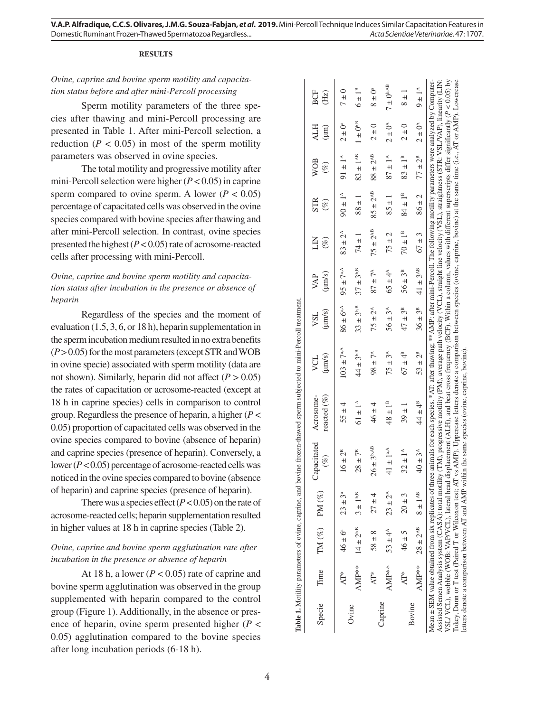#### **RESULTS**

# *Ovine, caprine and bovine sperm motility and capacita tion status before and after mini-Percoll processing*

Sperm motility parameters of the three spe cies after thawing and mini-Percoll processing are presented in Table 1. After mini-Percoll selection, a reduction ( $P < 0.05$ ) in most of the sperm motility parameters was observed in ovine species.

The total motility and progressive motility after mini-Percoll selection were higher ( *P* < 0.05) in caprine sperm compared to ovine sperm. A lower  $(P < 0.05)$ percentage of capacitated cells was observed in the ovine species compared with bovine species after thawing and after mini-Percoll selection. In contrast, ovine species presented the highest  $(P < 0.05)$  rate of acrosome-reacted cells after processing with mini-Percoll.

# *Ovine, caprine and bovine sperm motility and capacita tion status after incubation in the presence or absence of heparin*

Regardless of the species and the moment of evaluation (1.5, 3, 6, or 18 h), heparin supplementation in the sperm incubation medium resulted in no extra benefits (*P* > 0.05) for the most parameters (except STR and WOB in ovine specie) associated with sperm motility (data are not shown). Similarly, heparin did not affect  $(P > 0.05)$ the rates of capacitation or acrosome-reacted (except at 18 h in caprine species) cells in comparison to control group. Regardless the presence of heparin, a higher ( *P* < 0.05) proportion of capacitated cells was observed in the ovine species compared to bovine (absence of heparin) and caprine species (presence of heparin). Conversely, a lower (*P* < 0.05) percentage of acrosome-reacted cells was noticed in the ovine species compared to bovine (absence of heparin) and caprine species (presence of heparin).

There was a species effect  $(P < 0.05)$  on the rate of acrosome-reacted cells; heparin supplementation resulted in higher values at 18 h in caprine species (Table 2).

# *Ovine, caprine and bovine sperm agglutination rate after incubation in the presence or absence of heparin*

At 18 h, a lower ( $P < 0.05$ ) rate of caprine and bovine sperm agglutination was observed in the group supplemented with heparin compared to the control group (Figure 1). Additionally, in the absence or pres ence of heparin, ovine sperm presented higher ( *P* < 0.05) agglutination compared to the bovine species after long incubation periods (6-18 h).

| Specie  | Time       |                       | $TM (\%) \quad PM (\%)$ | Capacitated<br>$(\%)$     | reacted $(\%)$<br>Acrosome-                                                                                                                                                                                                                                                                                                                                                                                                                                                                                                                                                                                                                                                                                                                                                                                                                                                                  | $(\mu m/s)$<br>VCL    | $(\mu m/s)$<br>VSL    | $(\mu m/s)$<br>VAP    | Š<br>$(\%)$           | <b>STR</b><br>$(\%)$        | <b>WOB</b><br>$(\%)$     | <b>ALH</b><br>$(\mu m)$ | <b>BCF</b><br>(Hz)      |
|---------|------------|-----------------------|-------------------------|---------------------------|----------------------------------------------------------------------------------------------------------------------------------------------------------------------------------------------------------------------------------------------------------------------------------------------------------------------------------------------------------------------------------------------------------------------------------------------------------------------------------------------------------------------------------------------------------------------------------------------------------------------------------------------------------------------------------------------------------------------------------------------------------------------------------------------------------------------------------------------------------------------------------------------|-----------------------|-----------------------|-----------------------|-----------------------|-----------------------------|--------------------------|-------------------------|-------------------------|
|         | AT*        | $46 \pm 6^a$          | $23 \pm 3^a$            | $16 \pm 2^{\rm B}$        | $55 \pm 4$                                                                                                                                                                                                                                                                                                                                                                                                                                                                                                                                                                                                                                                                                                                                                                                                                                                                                   | $103 \pm 7^{aA}$      | $86 \pm 6^{a.A}$      | $95 \pm 7^{aA}$       | $83 \pm 2^{A}$        | $-14$                       | $91 \pm 1^4$             | $2 \pm 0^a$             | $7 \pm 0$               |
| Ovine   | $AMP^{**}$ | $14 \pm 2^{b,B}$      | $3\pm1^{\rm b,B}$       | $28\pm7^{\rm B}$          | $61 \pm 1^4$                                                                                                                                                                                                                                                                                                                                                                                                                                                                                                                                                                                                                                                                                                                                                                                                                                                                                 | $44 \pm 3^{\rm b,B}$  | $33 \pm 3^{b,B}$      | $37 \pm 3^{b,B}$      | $74 \pm 1$            | $1 \pm 88$                  | $83 \pm 1^{AB}$          | $1\pm0^{\rm b,B}$       | $6 \pm 1^B$             |
|         | AT*        | $58 \pm 8$            | $27 \pm 4$              | $26 \pm 3^{\text{b,AB}}$  | $46 \pm 4$                                                                                                                                                                                                                                                                                                                                                                                                                                                                                                                                                                                                                                                                                                                                                                                                                                                                                   | $98 \pm 7^{\circ}$    | $75 \pm 2^{\text{A}}$ | $87 \pm 7^{\circ}$    | $75 \pm 2^{AB}$       | $85 \pm 2^{AB}$             | $88 \pm 2^{\mathrm{AB}}$ | $2 \pm 0$               | $8 \pm 0$ <sup>a</sup>  |
| Caprine | $AMP**$    | $53 \pm 4^{A}$        | $23 \pm 2^A$            | 41 $\pm$ 1 <sup>a.A</sup> | $48 \pm 1^{\rm B}$                                                                                                                                                                                                                                                                                                                                                                                                                                                                                                                                                                                                                                                                                                                                                                                                                                                                           | $75 \pm 3^{\text{A}}$ | $56 \pm 3^{\circ}$    | 65 ± $4^{A}$          | $75 \pm 2$            | $85 \pm 1$                  | $87 \pm 1^{A}$           | $2 \pm 0^{\circ}$       | $7 \pm 0^{\text{b,AB}}$ |
|         | AT*        | $46 \pm 5$            | $20 \pm 3$              | $32 \pm 1^{A}$            | $39 \pm 1$                                                                                                                                                                                                                                                                                                                                                                                                                                                                                                                                                                                                                                                                                                                                                                                                                                                                                   | $67 \pm 4^{\text{B}}$ | $47 \pm 3^{\text{B}}$ | $56 \pm 3^{\text{B}}$ | $70 \pm 1^{\text{B}}$ | $84 \pm 1^{\text{\tiny B}}$ | $83 \pm 1^B$             | 2 ± 0                   | $\frac{1}{8}$           |
| Bovine  |            | AMP** $28 \pm 2^{AB}$ | $8\pm1^{\rm AB}$        | $40 \pm 3^{\circ}$        | $44 \pm 4^{\circ}$                                                                                                                                                                                                                                                                                                                                                                                                                                                                                                                                                                                                                                                                                                                                                                                                                                                                           | $53 \pm 2^{\text{B}}$ | $36 \pm 3^{\circ}$    | $41\pm3^{\rm AB}$     | $67 \pm 3$            | $86 \pm 2$                  | $77 \pm 2^B$             | $2 \pm 0^4$             | $9 \pm 1^4$             |
|         |            |                       |                         |                           | VSL/VCL), wobble (WOB: VAP/VCL), lateral head displacement (ALH), and beat cross frequency (BCF). Within a column, values with different superscripts differ significantly (P < 0.05) by<br>Tukey, Dunn or T test (Paired T or Wilcoxon test; AT vs AMP). Uppercase letters denote a comparison between species (ovine, caprine, bovine) at the same time (i.e., AT or AMP). Lowercase<br>Assisted Semen Analysis system (CASA): total motility (TM), progressive motility (PM), average path velocity (VCL), straight line velocity (VSL), straightness (STR: VSL/VAP), linearity (LIN:<br>Mean ± SEM value obtained from six replicates of three animals for each species. *AT: after thawing; ** AMP: after mini-Percoll. The following motility parameters were analyzed by Computer-<br>letters denote a comparison between AT and AMP within the same species (ovine, caprine, bovine) |                       |                       |                       |                       |                             |                          |                         |                         |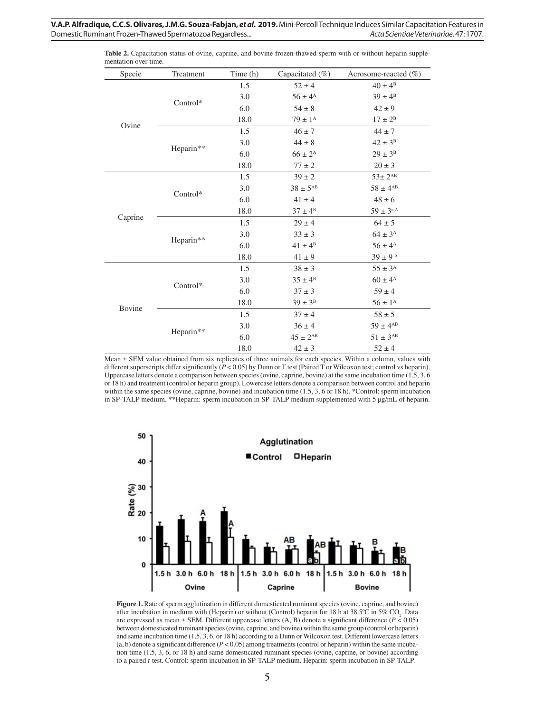| Specie  | Treatment | Time (h) | Capacitated (%)    | Acrosome-reacted (%) |
|---------|-----------|----------|--------------------|----------------------|
|         |           | 1.5      | $52 \pm 4$         | $40 \pm 4^{\rm B}$   |
|         |           | 3.0      | $56 \pm 4^{\rm A}$ | $39 \pm 4^{\rm B}$   |
|         | Control*  | 6.0      | $54 \pm 8$         | $42 \pm 9$           |
|         |           | 18.0     | $79 \pm 1^{A}$     | $17 \pm 2^{\rm B}$   |
| Ovine   |           | 1.5      | $46 \pm 7$         | $44 \pm 7$           |
|         |           | 3.0      | $44 \pm 8$         | $42 \pm 3^{\rm B}$   |
|         | Heparin** | 6.0      | $66 \pm 2^{\rm A}$ | $29 \pm 3^{\rm B}$   |
|         |           | 18.0     | $77 \pm 2$         | $20 \pm 3$           |
|         |           | 1.5      | $39 \pm 2$         | $53\pm2^{AB}$        |
|         | Control*  | 3.0      | $38\pm5^{\rm AB}$  | $58 \pm 4^{AB}$      |
|         |           | 6.0      | $41 \pm 4$         | $48 \pm 6$           |
|         |           | 18.0     | $37 \pm 4^{\rm B}$ | $59 \pm 3^{\rm a,A}$ |
| Caprine |           | 1.5      | $29 \pm 4$         | $64 \pm 5$           |
|         |           | 3.0      | $33 \pm 3$         | $64 \pm 3^{A}$       |
|         | Heparin** | 6.0      | $41 \pm 4^{\rm B}$ | $56 \pm 4^{\rm A}$   |
|         |           | 18.0     | $41 \pm 9$         | $39\pm9$ $^{\rm b}$  |
|         |           | 1.5      | $38 \pm 3$         | $55 \pm 3^{\rm A}$   |
|         |           | 3.0      | $35 \pm 4^{\rm B}$ | $60 \pm 4^{\rm A}$   |
|         | Control*  | 6.0      | $37 \pm 3$         | $59 \pm 4$           |
|         |           | 18.0     | $39 \pm 3^{\rm B}$ | $56\pm1^{\rm A}$     |
| Bovine  |           | 1.5      | $37 \pm 4$         | $58 \pm 5$           |
|         |           | 3.0      | $36 \pm 4$         | $59 \pm 4^{AB}$      |
|         | Heparin** | 6.0      | $45 \pm 2^{AB}$    | $51 \pm 3^{AB}$      |
|         |           | 18.0     | $42 \pm 3$         | $52 \pm 4$           |

**Table 2.** Capacitation status of ovine, caprine, and bovine frozen-thawed sperm with or without heparin supplementation over time.

Mean ± SEM value obtained from six replicates of three animals for each species. Within a column, values with different superscripts differ significantly (*P* < 0.05) by Dunn or T test (Paired T or Wilcoxon test; control vs heparin). Uppercase letters denote a comparison between species (ovine, caprine, bovine) at the same incubation time (1.5, 3, 6 or 18 h) and treatment (control or heparin group). Lowercase letters denote a comparison between control and heparin within the same species (ovine, caprine, bovine) and incubation time (1.5, 3, 6 or 18 h). \*Control: sperm incubation in SP-TALP medium. \*\*Heparin: sperm incubation in SP-TALP medium supplemented with 5 µg/mL of heparin.



**Figure 1.** Rate of sperm agglutination in different domesticated ruminant species (ovine, caprine, and bovine) after incubation in medium with (Heparin) or without (Control) heparin for 18 h at 38.5°C in 5% CO<sub>2</sub>. Data are expressed as mean  $\pm$  SEM. Different uppercase letters (A, B) denote a significant difference ( $P \le 0.05$ ) between domesticated ruminant species (ovine, caprine, and bovine) within the same group (control or heparin) and same incubation time (1.5, 3, 6, or 18 h) according to a Dunn or Wilcoxon test. Different lowercase letters  $(a, b)$  denote a significant difference  $(P < 0.05)$  among treatments (control or heparin) within the same incubation time (1.5, 3, 6, or 18 h) and same domesticated ruminant species (ovine, caprine, or bovine) according to a paired *t*-test. Control: sperm incubation in SP-TALP medium. Heparin: sperm incubation in SP-TALP.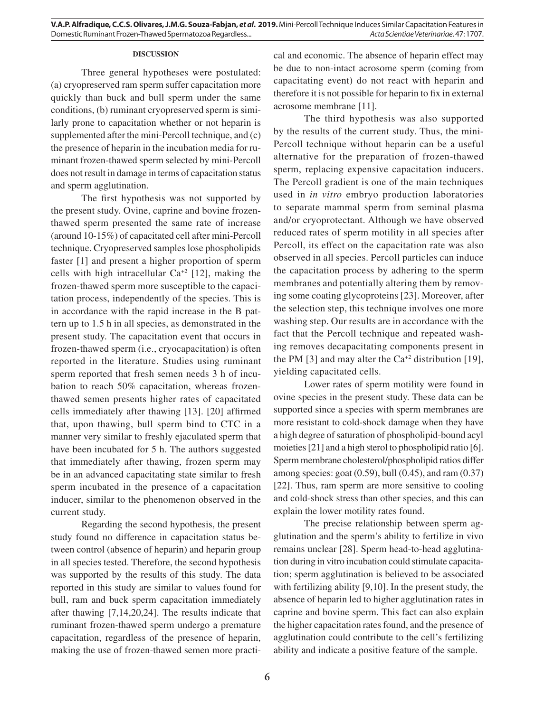#### **DISCUSSION**

Three general hypotheses were postulated: (a) cryopreserved ram sperm suffer capacitation more quickly than buck and bull sperm under the same conditions, (b) ruminant cryopreserved sperm is similarly prone to capacitation whether or not heparin is supplemented after the mini-Percoll technique, and (c) the presence of heparin in the incubation media for ruminant frozen-thawed sperm selected by mini-Percoll does not result in damage in terms of capacitation status and sperm agglutination.

The first hypothesis was not supported by the present study. Ovine, caprine and bovine frozenthawed sperm presented the same rate of increase (around 10-15%) of capacitated cell after mini-Percoll technique. Cryopreserved samples lose phospholipids faster [1] and present a higher proportion of sperm cells with high intracellular  $Ca^{+2}$  [12], making the frozen-thawed sperm more susceptible to the capacitation process, independently of the species. This is in accordance with the rapid increase in the B pattern up to 1.5 h in all species, as demonstrated in the present study. The capacitation event that occurs in frozen-thawed sperm (i.e., cryocapacitation) is often reported in the literature. Studies using ruminant sperm reported that fresh semen needs 3 h of incubation to reach 50% capacitation, whereas frozenthawed semen presents higher rates of capacitated cells immediately after thawing [13]. [20] affirmed that, upon thawing, bull sperm bind to CTC in a manner very similar to freshly ejaculated sperm that have been incubated for 5 h. The authors suggested that immediately after thawing, frozen sperm may be in an advanced capacitating state similar to fresh sperm incubated in the presence of a capacitation inducer, similar to the phenomenon observed in the current study.

Regarding the second hypothesis, the present study found no difference in capacitation status between control (absence of heparin) and heparin group in all species tested. Therefore, the second hypothesis was supported by the results of this study. The data reported in this study are similar to values found for bull, ram and buck sperm capacitation immediately after thawing [7,14,20,24]. The results indicate that ruminant frozen-thawed sperm undergo a premature capacitation, regardless of the presence of heparin, making the use of frozen-thawed semen more practical and economic. The absence of heparin effect may be due to non-intact acrosome sperm (coming from capacitating event) do not react with heparin and therefore it is not possible for heparin to fix in external acrosome membrane [11].

The third hypothesis was also supported by the results of the current study. Thus, the mini-Percoll technique without heparin can be a useful alternative for the preparation of frozen-thawed sperm, replacing expensive capacitation inducers. The Percoll gradient is one of the main techniques used in *in vitro* embryo production laboratories to separate mammal sperm from seminal plasma and/or cryoprotectant. Although we have observed reduced rates of sperm motility in all species after Percoll, its effect on the capacitation rate was also observed in all species. Percoll particles can induce the capacitation process by adhering to the sperm membranes and potentially altering them by removing some coating glycoproteins [23]. Moreover, after the selection step, this technique involves one more washing step. Our results are in accordance with the fact that the Percoll technique and repeated washing removes decapacitating components present in the PM [3] and may alter the  $Ca^{+2}$  distribution [19], yielding capacitated cells.

Lower rates of sperm motility were found in ovine species in the present study. These data can be supported since a species with sperm membranes are more resistant to cold-shock damage when they have a high degree of saturation of phospholipid-bound acyl moieties [21] and a high sterol to phospholipid ratio [6]. Sperm membrane cholesterol/phospholipid ratios differ among species: goat  $(0.59)$ , bull  $(0.45)$ , and ram  $(0.37)$ [22]. Thus, ram sperm are more sensitive to cooling and cold-shock stress than other species, and this can explain the lower motility rates found.

The precise relationship between sperm agglutination and the sperm's ability to fertilize in vivo remains unclear [28]. Sperm head-to-head agglutination during in vitro incubation could stimulate capacitation; sperm agglutination is believed to be associated with fertilizing ability [9,10]. In the present study, the absence of heparin led to higher agglutination rates in caprine and bovine sperm. This fact can also explain the higher capacitation rates found, and the presence of agglutination could contribute to the cell's fertilizing ability and indicate a positive feature of the sample.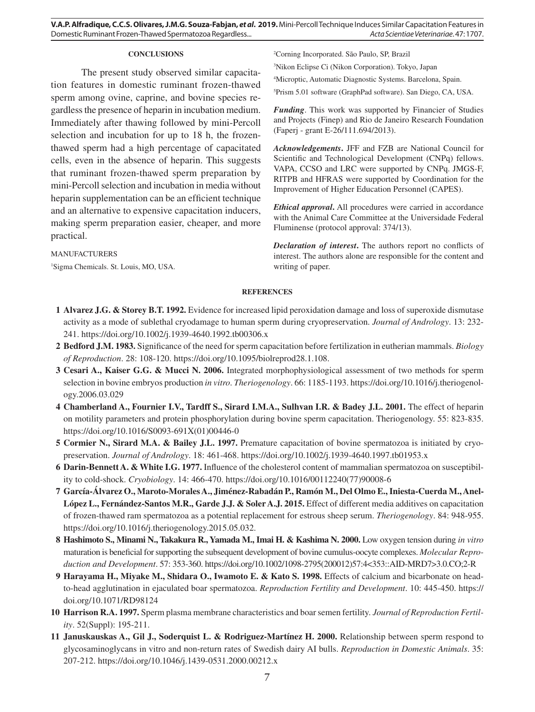**V.A.P. Alfradique, C.C.S. Olivares, J.M.G. Souza-Fabjan,** *et al***. 2019.** Mini-Percoll Technique Induces Similar Capacitation Features in Domestic Ruminant Frozen-Thawed Spermatozoa Regardless... *Acta Scientiae Veterinariae*. 47: 1707.

#### **CONCLUSIONS**

The present study observed similar capacitation features in domestic ruminant frozen-thawed sperm among ovine, caprine, and bovine species regardless the presence of heparin in incubation medium. Immediately after thawing followed by mini-Percoll selection and incubation for up to 18 h, the frozenthawed sperm had a high percentage of capacitated cells, even in the absence of heparin. This suggests that ruminant frozen-thawed sperm preparation by mini-Percoll selection and incubation in media without heparin supplementation can be an efficient technique and an alternative to expensive capacitation inducers, making sperm preparation easier, cheaper, and more practical.

MANUFACTURERS 1 Sigma Chemicals. St. Louis, MO, USA. 2 Corning Incorporated. São Paulo, SP, Brazil

3 Nikon Eclipse Ci (Nikon Corporation). Tokyo, Japan

4 Microptic, Automatic Diagnostic Systems. Barcelona, Spain.

5 Prism 5.01 software (GraphPad software). San Diego, CA, USA.

*Funding*. This work was supported by Financier of Studies and Projects (Finep) and Rio de Janeiro Research Foundation (Faperj - grant E-26/111.694/2013).

*Acknowledgements***.** JFF and FZB are National Council for Scientific and Technological Development (CNPq) fellows. VAPA, CCSO and LRC were supported by CNPq. JMGS-F, RITPB and HFRAS were supported by Coordination for the Improvement of Higher Education Personnel (CAPES).

*Ethical approval***.** All procedures were carried in accordance with the Animal Care Committee at the Universidade Federal Fluminense (protocol approval: 374/13).

*Declaration of interest***.** The authors report no conflicts of interest. The authors alone are responsible for the content and writing of paper.

### **REFERENCES**

- **1 Alvarez J.G. & Storey B.T. 1992.** Evidence for increased lipid peroxidation damage and loss of superoxide dismutase activity as a mode of sublethal cryodamage to human sperm during cryopreservation. *Journal of Andrology*. 13: 232- 241. https://doi.org/10.1002/j.1939-4640.1992.tb00306.x
- **2 Bedford J.M. 1983.** Significance of the need for sperm capacitation before fertilization in eutherian mammals. *Biology of Reproduction*. 28: 108-120. https://doi.org/10.1095/biolreprod28.1.108.
- **3 Cesari A., Kaiser G.G. & Mucci N. 2006.** Integrated morphophysiological assessment of two methods for sperm selection in bovine embryos production *in vitro*. *Theriogenology*. 66: 1185-1193. https://doi.org/10.1016/j.theriogenology.2006.03.029
- **4 Chamberland A., Fournier I.V., Tardff S., Sirard I.M.A., Sulhvan I.R. & Badey J.L. 2001.** The effect of heparin on motility parameters and protein phosphorylation during bovine sperm capacitation. Theriogenology. 55: 823-835. https://doi.org/10.1016/S0093-691X(01)00446-0
- **5 Cormier N., Sirard M.A. & Bailey J.L. 1997.** Premature capacitation of bovine spermatozoa is initiated by cryopreservation. *Journal of Andrology*. 18: 461-468. https://doi.org/10.1002/j.1939-4640.1997.tb01953.x
- **6 Darin-Bennett A. & White I.G. 1977.** Influence of the cholesterol content of mammalian spermatozoa on susceptibility to cold-shock. *Cryobiology*. 14: 466-470. https://doi.org/10.1016/00112240(77)90008-6
- **7 García-Álvarez O., Maroto-Morales A., Jiménez-Rabadán P., Ramón M., Del Olmo E., Iniesta-Cuerda M., Anel-**López L., Fernández-Santos M.R., Garde J.J. & Soler A.J. 2015. Effect of different media additives on capacitation of frozen-thawed ram spermatozoa as a potential replacement for estrous sheep serum. *Theriogenology*. 84: 948-955. https://doi.org/10.1016/j.theriogenology.2015.05.032.
- **8 Hashimoto S., Minami N., Takakura R., Yamada M., Imai H. & Kashima N. 2000.** Low oxygen tension during *in vitro* maturation is beneficial for supporting the subsequent development of bovine cumulus-oocyte complexes. *Molecular Reproduction and Development*. 57: 353-360. https://doi.org/10.1002/1098-2795(200012)57:4<353::AID-MRD7>3.0.CO;2-R
- **9 Harayama H., Miyake M., Shidara O., Iwamoto E. & Kato S. 1998.** Effects of calcium and bicarbonate on headto-head agglutination in ejaculated boar spermatozoa. *Reproduction Fertility and Development*. 10: 445-450. https:// doi.org/10.1071/RD98124
- **10 Harrison R.A. 1997.** Sperm plasma membrane characteristics and boar semen fertility. *Journal of Reproduction Fertility*. 52(Suppl): 195-211.
- **11 Januskauskas A., Gil J., Soderquist L. & Rodriguez-Martínez H. 2000.** Relationship between sperm respond to glycosaminoglycans in vitro and non-return rates of Swedish dairy AI bulls. *Reproduction in Domestic Animals*. 35: 207-212. https://doi.org/10.1046/j.1439-0531.2000.00212.x